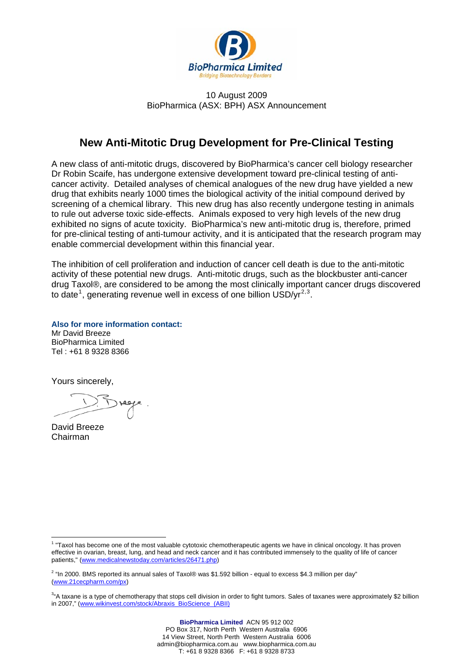

#### 10 August 2009 BioPharmica (ASX: BPH) ASX Announcement

## **New Anti-Mitotic Drug Development for Pre-Clinical Testing**

A new class of anti-mitotic drugs, discovered by BioPharmica's cancer cell biology researcher Dr Robin Scaife, has undergone extensive development toward pre-clinical testing of anticancer activity. Detailed analyses of chemical analogues of the new drug have yielded a new drug that exhibits nearly 1000 times the biological activity of the initial compound derived by screening of a chemical library. This new drug has also recently undergone testing in animals to rule out adverse toxic side-effects. Animals exposed to very high levels of the new drug exhibited no signs of acute toxicity. BioPharmica's new anti-mitotic drug is, therefore, primed for pre-clinical testing of anti-tumour activity, and it is anticipated that the research program may enable commercial development within this financial year.

The inhibition of cell proliferation and induction of cancer cell death is due to the anti-mitotic activity of these potential new drugs. Anti-mitotic drugs, such as the blockbuster anti-cancer drug Taxol®, are considered to be among the most clinically important cancer drugs discovered to date<sup>[1](#page-0-0)</sup>, generating revenue well in excess of one billion USD/yr<sup>[2](#page-0-1),[3](#page-0-2)</sup>.

**Also for more information contact:**  Mr David Breeze BioPharmica Limited Tel : +61 8 9328 8366

Yours sincerely,

David Breeze Chairman

 $\overline{a}$ 

<span id="page-0-0"></span><sup>&</sup>lt;sup>1</sup> "Taxol has become one of the most valuable cytotoxic chemotherapeutic agents we have in clinical oncology. It has proven effective in ovarian, breast, lung, and head and neck cancer and it has contributed immensely to the quality of life of cancer patients," ([www.medicalnewstoday.com/articles/26471.php](http://www.medicalnewstoday.com/articles/26471.php))

<span id="page-0-1"></span><sup>&</sup>lt;sup>2</sup> "In 2000. BMS reported its annual sales of Taxol® was \$1.592 billion - equal to excess \$4.3 million per day" ([www.21cecpharm.com/px](http://www.21cecpharm.com/px))

<span id="page-0-2"></span><sup>&</sup>lt;sup>3</sup>"A taxane is a type of chemotherapy that stops cell division in order to fight tumors. Sales of taxanes were approximately \$2 billion in 2007," ([www.wikinvest.com/stock/Abraxis\\_BioScience\\_\(ABII\)](http://www.wikinvest.com/stock/Abraxis_BioScience_(ABII))